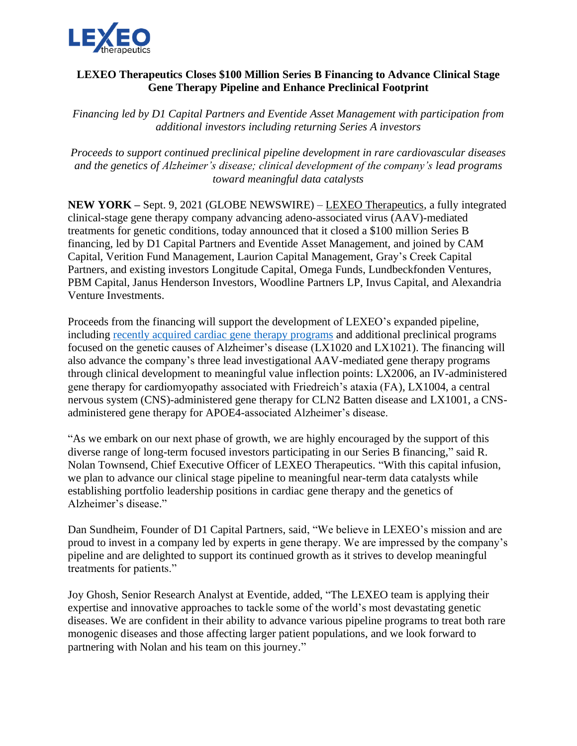

## **LEXEO Therapeutics Closes \$100 Million Series B Financing to Advance Clinical Stage Gene Therapy Pipeline and Enhance Preclinical Footprint**

*Financing led by D1 Capital Partners and Eventide Asset Management with participation from additional investors including returning Series A investors* 

*Proceeds to support continued preclinical pipeline development in rare cardiovascular diseases and the genetics of Alzheimer's disease; clinical development of the company's lead programs toward meaningful data catalysts*

**NEW YORK –** Sept. 9, 2021 (GLOBE NEWSWIRE) – [LEXEO Therapeutics,](https://www.lexeotx.com/) a fully integrated clinical-stage gene therapy company advancing adeno-associated virus (AAV)-mediated treatments for genetic conditions, today announced that it closed a \$100 million Series B financing, led by D1 Capital Partners and Eventide Asset Management, and joined by CAM Capital, Verition Fund Management, Laurion Capital Management, Gray's Creek Capital Partners, and existing investors Longitude Capital, Omega Funds, Lundbeckfonden Ventures, PBM Capital, Janus Henderson Investors, Woodline Partners LP, Invus Capital, and Alexandria Venture Investments.

Proceeds from the financing will support the development of LEXEO's expanded pipeline, including [recently acquired cardiac gene therapy programs](https://www.lexeotx.com/post/lexeo-therapeutics-expands-cardiac-gene-therapy-pipeline-with-acquisition-of-stelios-therapeutics) and additional preclinical programs focused on the genetic causes of Alzheimer's disease (LX1020 and LX1021). The financing will also advance the company's three lead investigational AAV-mediated gene therapy programs through clinical development to meaningful value inflection points: LX2006, an IV-administered gene therapy for cardiomyopathy associated with Friedreich's ataxia (FA), LX1004, a central nervous system (CNS)-administered gene therapy for CLN2 Batten disease and LX1001, a CNSadministered gene therapy for APOE4-associated Alzheimer's disease.

"As we embark on our next phase of growth, we are highly encouraged by the support of this diverse range of long-term focused investors participating in our Series B financing," said R. Nolan Townsend, Chief Executive Officer of LEXEO Therapeutics. "With this capital infusion, we plan to advance our clinical stage pipeline to meaningful near-term data catalysts while establishing portfolio leadership positions in cardiac gene therapy and the genetics of Alzheimer's disease."

Dan Sundheim, Founder of D1 Capital Partners, said, "We believe in LEXEO's mission and are proud to invest in a company led by experts in gene therapy. We are impressed by the company's pipeline and are delighted to support its continued growth as it strives to develop meaningful treatments for patients."

Joy Ghosh, Senior Research Analyst at Eventide, added, "The LEXEO team is applying their expertise and innovative approaches to tackle some of the world's most devastating genetic diseases. We are confident in their ability to advance various pipeline programs to treat both rare monogenic diseases and those affecting larger patient populations, and we look forward to partnering with Nolan and his team on this journey."